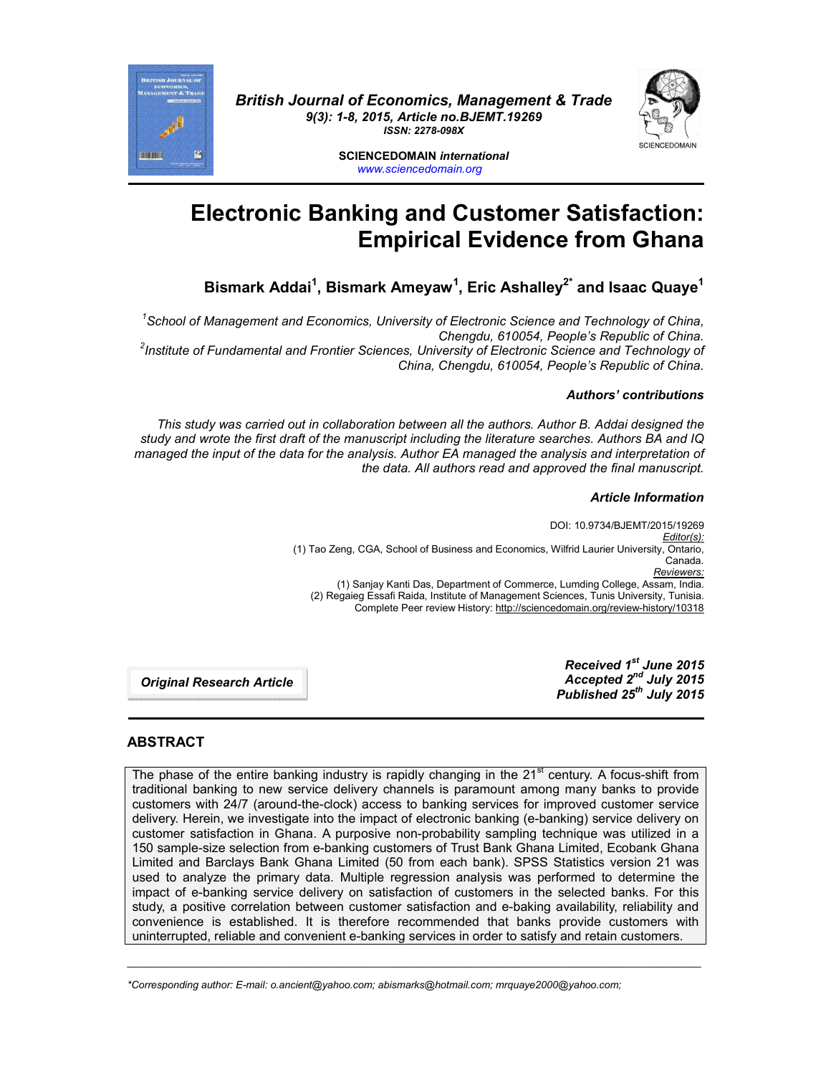

*British Journal of Economics, Management & Trade 9(3): 1-8, 2015, Article no.BJEMT.19269 ISSN: 2278-098X*



**SCIENCEDOMAIN** *international www.sciencedomain.org*

# **Electronic Banking and Customer Satisfaction: Empirical Evidence from Ghana**

# **Bismark Addai1 , Bismark Ameyaw<sup>1</sup> , Eric Ashalley2\* and Isaac Quaye1**

<sup>1</sup> School of Management and Economics, University of Electronic Science and Technology of China, *Chengdu, 610054, People's Republic of China. <sup>2</sup> Institute of Fundamental and Frontier Sciences, University of Electronic Science and Technology of* 

*China, Chengdu, 610054, People's Republic of China.*

# *Authors' contributions*

*This study was carried out in collaboration between all the authors. Author B. Addai designed the study and wrote the first draft of the manuscript including the literature searches. Authors BA and IQ managed the input of the data for the analysis. Author EA managed the analysis and interpretation of the data. All authors read and approved the final manuscript.*

# *Article Information*

DOI: 10.9734/BJEMT/2015/19269 *Editor(s):* (1) Tao Zeng, CGA, School of Business and Economics, Wilfrid Laurier University, Ontario, Canada. *Reviewers:* (1) Sanjay Kanti Das, Department of Commerce, Lumding College, Assam, India. (2) Regaieg Essafi Raida, Institute of Management Sciences, Tunis University, Tunisia. Complete Peer review History: http://sciencedomain.org/review-history/10318

*Original Research Article*

*Received 1st June 2015 Accepted 2nd July 2015 Published 25th July 2015*

# **ABSTRACT**

The phase of the entire banking industry is rapidly changing in the  $21<sup>st</sup>$  century. A focus-shift from traditional banking to new service delivery channels is paramount among many banks to provide customers with 24/7 (around-the-clock) access to banking services for improved customer service delivery. Herein, we investigate into the impact of electronic banking (e-banking) service delivery on customer satisfaction in Ghana. A purposive non-probability sampling technique was utilized in a 150 sample-size selection from e-banking customers of Trust Bank Ghana Limited, Ecobank Ghana Limited and Barclays Bank Ghana Limited (50 from each bank). SPSS Statistics version 21 was used to analyze the primary data. Multiple regression analysis was performed to determine the impact of e-banking service delivery on satisfaction of customers in the selected banks. For this study, a positive correlation between customer satisfaction and e-baking availability, reliability and convenience is established. It is therefore recommended that banks provide customers with uninterrupted, reliable and convenient e-banking services in order to satisfy and retain customers.

\_\_\_\_\_\_\_\_\_\_\_\_\_\_\_\_\_\_\_\_\_\_\_\_\_\_\_\_\_\_\_\_\_\_\_\_\_\_\_\_\_\_\_\_\_\_\_\_\_\_\_\_\_\_\_\_\_\_\_\_\_\_\_\_\_\_\_\_\_\_\_\_\_\_\_\_\_\_\_\_\_\_\_\_\_\_\_\_\_\_\_\_\_\_\_\_\_\_\_\_\_

*<sup>\*</sup>Corresponding author: E-mail: o.ancient@yahoo.com; abismarks@hotmail.com; mrquaye2000@yahoo.com;*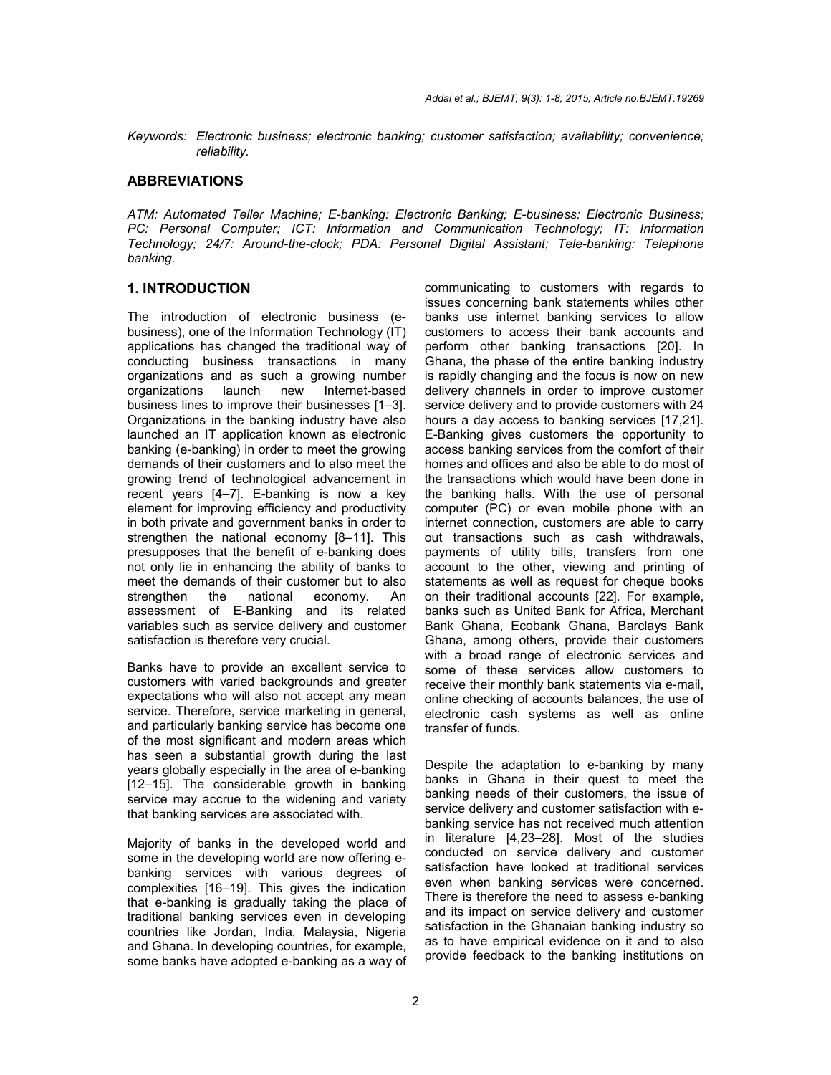*Keywords: Electronic business; electronic banking; customer satisfaction; availability; convenience; reliability.*

#### **ABBREVIATIONS**

*ATM: Automated Teller Machine; E-banking: Electronic Banking; E-business: Electronic Business; PC: Personal Computer; ICT: Information and Communication Technology; IT: Information Technology; 24/7: Around-the-clock; PDA: Personal Digital Assistant; Tele-banking: Telephone banking.*

#### **1. INTRODUCTION**

The introduction of electronic business (ebusiness), one of the Information Technology (IT) applications has changed the traditional way of conducting business transactions in many organizations and as such a growing number organizations launch new Internet-based business lines to improve their businesses [1–3]. Organizations in the banking industry have also launched an IT application known as electronic banking (e-banking) in order to meet the growing demands of their customers and to also meet the growing trend of technological advancement in recent years [4–7]. E-banking is now a key element for improving efficiency and productivity in both private and government banks in order to strengthen the national economy [8–11]. This presupposes that the benefit of e-banking does not only lie in enhancing the ability of banks to meet the demands of their customer but to also<br>strengthen the national economy. An strengthen the national economy. An assessment of E-Banking and its related variables such as service delivery and customer satisfaction is therefore very crucial.

Banks have to provide an excellent service to customers with varied backgrounds and greater expectations who will also not accept any mean service. Therefore, service marketing in general, and particularly banking service has become one of the most significant and modern areas which has seen a substantial growth during the last years globally especially in the area of e-banking [12–15]. The considerable growth in banking service may accrue to the widening and variety that banking services are associated with.

Majority of banks in the developed world and some in the developing world are now offering ebanking services with various degrees of complexities [16–19]. This gives the indication that e-banking is gradually taking the place of traditional banking services even in developing countries like Jordan, India, Malaysia, Nigeria and Ghana. In developing countries, for example, some banks have adopted e-banking as a way of

communicating to customers with regards to issues concerning bank statements whiles other banks use internet banking services to allow customers to access their bank accounts and perform other banking transactions [20]. In Ghana, the phase of the entire banking industry is rapidly changing and the focus is now on new delivery channels in order to improve customer service delivery and to provide customers with 24 hours a day access to banking services [17,21]. E-Banking gives customers the opportunity to access banking services from the comfort of their homes and offices and also be able to do most of the transactions which would have been done in the banking halls. With the use of personal computer (PC) or even mobile phone with an internet connection, customers are able to carry out transactions such as cash withdrawals, payments of utility bills, transfers from one account to the other, viewing and printing of statements as well as request for cheque books on their traditional accounts [22]. For example, banks such as United Bank for Africa, Merchant Bank Ghana, Ecobank Ghana, Barclays Bank Ghana, among others, provide their customers with a broad range of electronic services and some of these services allow customers to receive their monthly bank statements via e-mail, online checking of accounts balances, the use of electronic cash systems as well as online transfer of funds.

Despite the adaptation to e-banking by many banks in Ghana in their quest to meet the banking needs of their customers, the issue of service delivery and customer satisfaction with ebanking service has not received much attention in literature [4,23–28]. Most of the studies conducted on service delivery and customer satisfaction have looked at traditional services even when banking services were concerned. There is therefore the need to assess e-banking and its impact on service delivery and customer satisfaction in the Ghanaian banking industry so as to have empirical evidence on it and to also provide feedback to the banking institutions on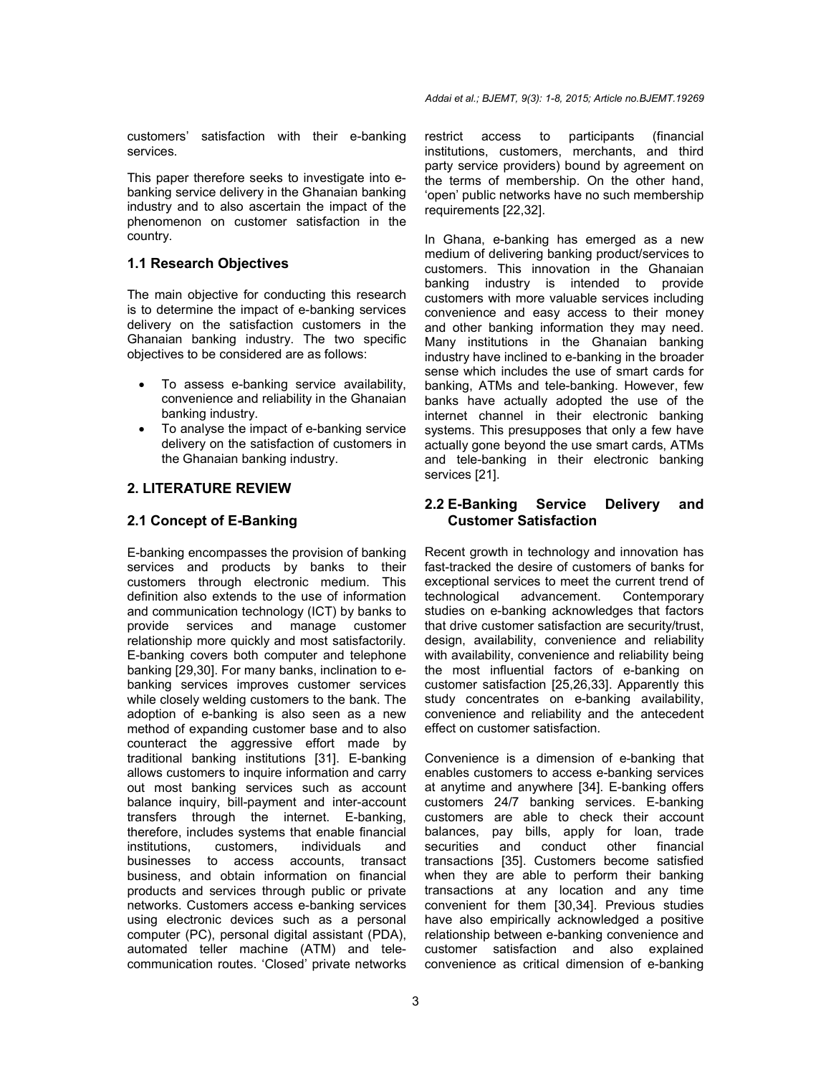customers' satisfaction with their e-banking services.

This paper therefore seeks to investigate into ebanking service delivery in the Ghanaian banking industry and to also ascertain the impact of the phenomenon on customer satisfaction in the country.

### **1.1 Research Objectives**

The main objective for conducting this research is to determine the impact of e-banking services delivery on the satisfaction customers in the Ghanaian banking industry. The two specific objectives to be considered are as follows:

- To assess e-banking service availability, convenience and reliability in the Ghanaian banking industry.
- To analyse the impact of e-banking service delivery on the satisfaction of customers in the Ghanaian banking industry.

# **2. LITERATURE REVIEW**

# **2.1 Concept of E-Banking**

E-banking encompasses the provision of banking services and products by banks to their customers through electronic medium. This definition also extends to the use of information and communication technology (ICT) by banks to provide services and manage customer relationship more quickly and most satisfactorily. E-banking covers both computer and telephone banking [29,30]. For many banks, inclination to ebanking services improves customer services while closely welding customers to the bank. The adoption of e-banking is also seen as a new method of expanding customer base and to also counteract the aggressive effort made by traditional banking institutions [31]. E-banking allows customers to inquire information and carry out most banking services such as account balance inquiry, bill-payment and inter-account transfers through the internet. E-banking, therefore, includes systems that enable financial institutions, customers, individuals and businesses to access accounts, transact business, and obtain information on financial products and services through public or private networks. Customers access e-banking services using electronic devices such as a personal computer (PC), personal digital assistant (PDA), automated teller machine (ATM) and telecommunication routes. 'Closed' private networks restrict access to participants (financial institutions, customers, merchants, and third party service providers) bound by agreement on the terms of membership. On the other hand, 'open' public networks have no such membership requirements [22,32].

In Ghana, e-banking has emerged as a new medium of delivering banking product/services to customers. This innovation in the Ghanaian banking industry is intended to provide customers with more valuable services including convenience and easy access to their money and other banking information they may need. Many institutions in the Ghanaian banking industry have inclined to e-banking in the broader sense which includes the use of smart cards for banking, ATMs and tele-banking. However, few banks have actually adopted the use of the internet channel in their electronic banking systems. This presupposes that only a few have actually gone beyond the use smart cards, ATMs and tele-banking in their electronic banking services [21].

# **2.2 E-Banking Service Delivery and Customer Satisfaction**

Recent growth in technology and innovation has fast-tracked the desire of customers of banks for exceptional services to meet the current trend of technological advancement. Contemporary studies on e-banking acknowledges that factors that drive customer satisfaction are security/trust, design, availability, convenience and reliability with availability, convenience and reliability being the most influential factors of e-banking on customer satisfaction [25,26,33]. Apparently this study concentrates on e-banking availability, convenience and reliability and the antecedent effect on customer satisfaction.

Convenience is a dimension of e-banking that enables customers to access e-banking services at anytime and anywhere [34]. E-banking offers customers 24/7 banking services. E-banking customers are able to check their account balances, pay bills, apply for loan, trade securities and conduct other financial transactions [35]. Customers become satisfied when they are able to perform their banking transactions at any location and any time convenient for them [30,34]. Previous studies have also empirically acknowledged a positive relationship between e-banking convenience and customer satisfaction and also explained convenience as critical dimension of e-banking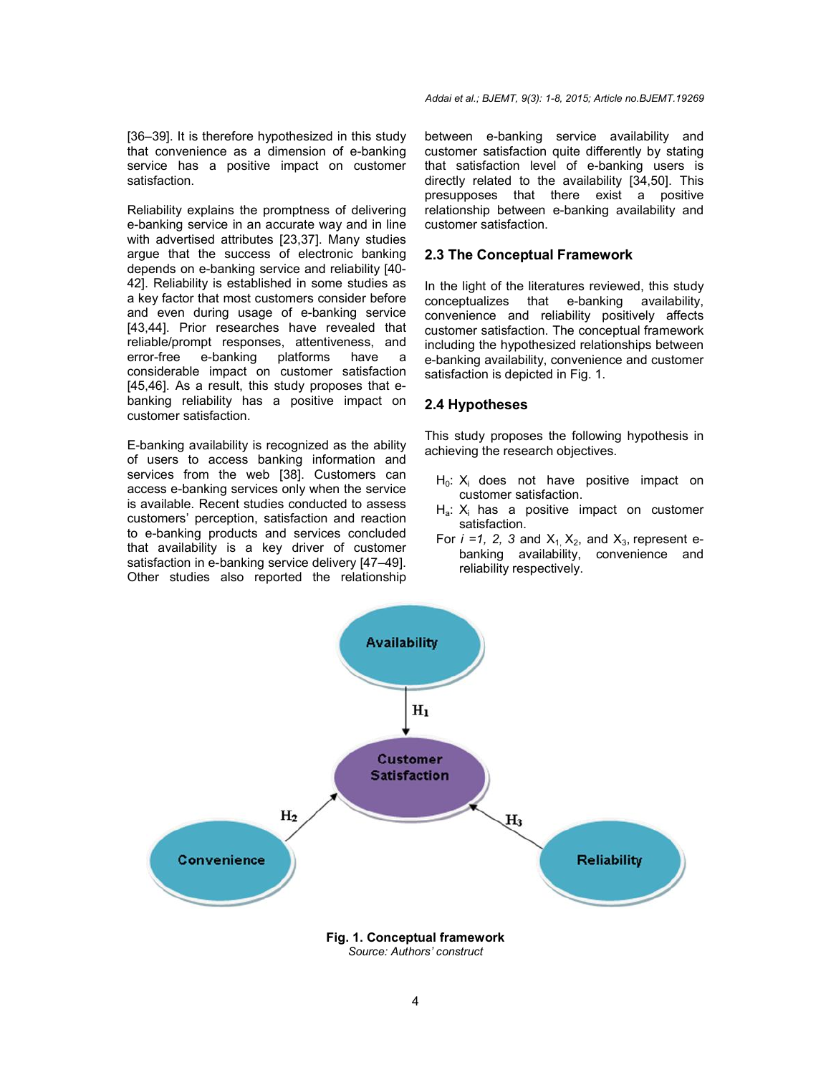[36–39]. It is therefore hypothesized in this study that convenience as a dimension of e-banking service has a positive impact on customer satisfaction.

Reliability explains the promptness of delivering e-banking service in an accurate way and in line with advertised attributes [23,37]. Many studies argue that the success of electronic banking depends on e-banking service and reliability [40- 42]. Reliability is established in some studies as a key factor that most customers consider before and even during usage of e-banking service [43,44]. Prior researches have revealed that reliable/prompt responses, attentiveness, and<br>error-free e-banking platforms have a e-banking platforms have a considerable impact on customer satisfaction [45,46]. As a result, this study proposes that ebanking reliability has a positive impact on customer satisfaction.

E-banking availability is recognized as the ability of users to access banking information and services from the web [38]. Customers can access e-banking services only when the service is available. Recent studies conducted to assess customers' perception, satisfaction and reaction to e-banking products and services concluded that availability is a key driver of customer satisfaction in e-banking service delivery [47–49]. Other studies also reported the relationship

between e-banking service availability and customer satisfaction quite differently by stating that satisfaction level of e-banking users is directly related to the availability [34,50]. This presupposes that there exist a positive relationship between e-banking availability and customer satisfaction.

# **2.3 The Conceptual Framework**

In the light of the literatures reviewed, this study conceptualizes that e-banking availability, convenience and reliability positively affects customer satisfaction. The conceptual framework including the hypothesized relationships between e-banking availability, convenience and customer satisfaction is depicted in Fig. 1.

### **2.4 Hypotheses**

This study proposes the following hypothesis in achieving the research objectives.

- H<sub>0</sub>: X<sub>i</sub> does not have positive impact on customer satisfaction.
- $H_a$ :  $X_i$  has a positive impact on customer satisfaction.
- For  $i = 1$ , 2, 3 and  $X_1$ ,  $X_2$ , and  $X_3$ , represent ebanking availability, convenience and reliability respectively.



*Source: Authors' construct*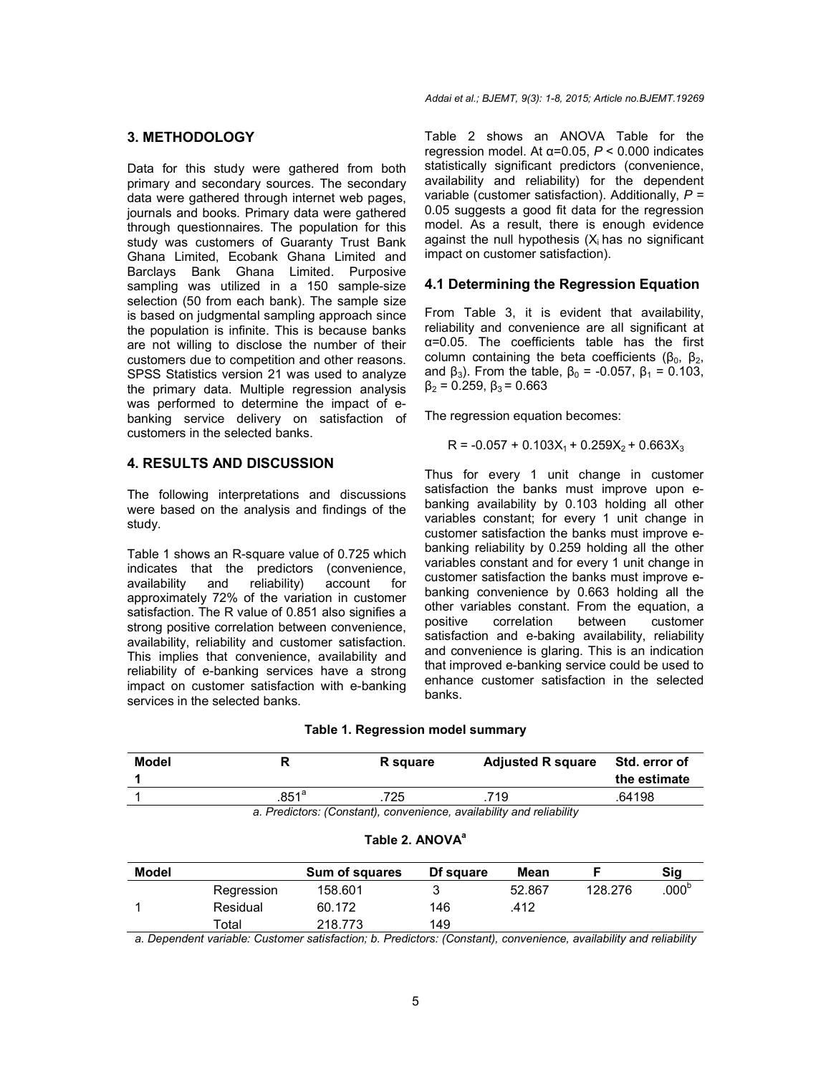# **3. METHODOLOGY**

Data for this study were gathered from both primary and secondary sources. The secondary data were gathered through internet web pages, journals and books. Primary data were gathered through questionnaires. The population for this study was customers of Guaranty Trust Bank Ghana Limited, Ecobank Ghana Limited and Barclays Bank Ghana Limited. Purposive sampling was utilized in a 150 sample-size selection (50 from each bank). The sample size is based on judgmental sampling approach since the population is infinite. This is because banks are not willing to disclose the number of their customers due to competition and other reasons. SPSS Statistics version 21 was used to analyze the primary data. Multiple regression analysis was performed to determine the impact of ebanking service delivery on satisfaction of customers in the selected banks.

# **4. RESULTS AND DISCUSSION**

The following interpretations and discussions were based on the analysis and findings of the study.

Table 1 shows an R-square value of 0.725 which indicates that the predictors (convenience, availability and reliability) account for approximately 72% of the variation in customer satisfaction. The R value of 0.851 also signifies a strong positive correlation between convenience, availability, reliability and customer satisfaction. This implies that convenience, availability and reliability of e-banking services have a strong impact on customer satisfaction with e-banking services in the selected banks.

Table 2 shows an ANOVA Table for the regression model. At α=0.05, *P* < 0.000 indicates statistically significant predictors (convenience, availability and reliability) for the dependent variable (customer satisfaction). Additionally, *P =*  0.05 suggests a good fit data for the regression model. As a result, there is enough evidence against the null hypothesis  $(X<sub>i</sub>$  has no significant impact on customer satisfaction).

# **4.1 Determining the Regression Equation**

From Table 3, it is evident that availability, reliability and convenience are all significant at α=0.05. The coefficients table has the first column containing the beta coefficients ( $β_0$ ,  $β_2$ , and  $\beta_3$ ). From the table,  $\beta_0$  = -0.057,  $\beta_1$  = 0.103,  $β<sub>2</sub> = 0.259, β<sub>3</sub> = 0.663$ 

The regression equation becomes:

 $R = -0.057 + 0.103X_1 + 0.259X_2 + 0.663X_3$ 

Thus for every 1 unit change in customer satisfaction the banks must improve upon ebanking availability by 0.103 holding all other variables constant; for every 1 unit change in customer satisfaction the banks must improve ebanking reliability by 0.259 holding all the other variables constant and for every 1 unit change in customer satisfaction the banks must improve ebanking convenience by 0.663 holding all the other variables constant. From the equation, a positive correlation between customer correlation between customer satisfaction and e-baking availability, reliability and convenience is glaring. This is an indication that improved e-banking service could be used to enhance customer satisfaction in the selected banks.

| Model                                                                |                | <b>R</b> square | <b>Adjusted R square</b> | Std. error of |  |  |
|----------------------------------------------------------------------|----------------|-----------------|--------------------------|---------------|--|--|
|                                                                      |                |                 |                          | the estimate  |  |  |
|                                                                      | $.851^{\circ}$ | 725             | .719                     | .64198        |  |  |
| a. Predictors: (Constant), convenience, availability and reliability |                |                 |                          |               |  |  |

| <b>Model</b> |            | <b>Sum of squares</b> | Df square | Mean   |         | Sig               |
|--------------|------------|-----------------------|-----------|--------|---------|-------------------|
|              | Regression | 158.601               |           | 52.867 | 128.276 | .000 <sup>b</sup> |
|              | Residual   | 60.172                | 146       | .412   |         |                   |
|              | Total      | 218.773               | 149       |        |         |                   |

Table 2. ANOVA<sup>a</sup>

*a. Dependent variable: Customer satisfaction; b. Predictors: (Constant), convenience, availability and reliability*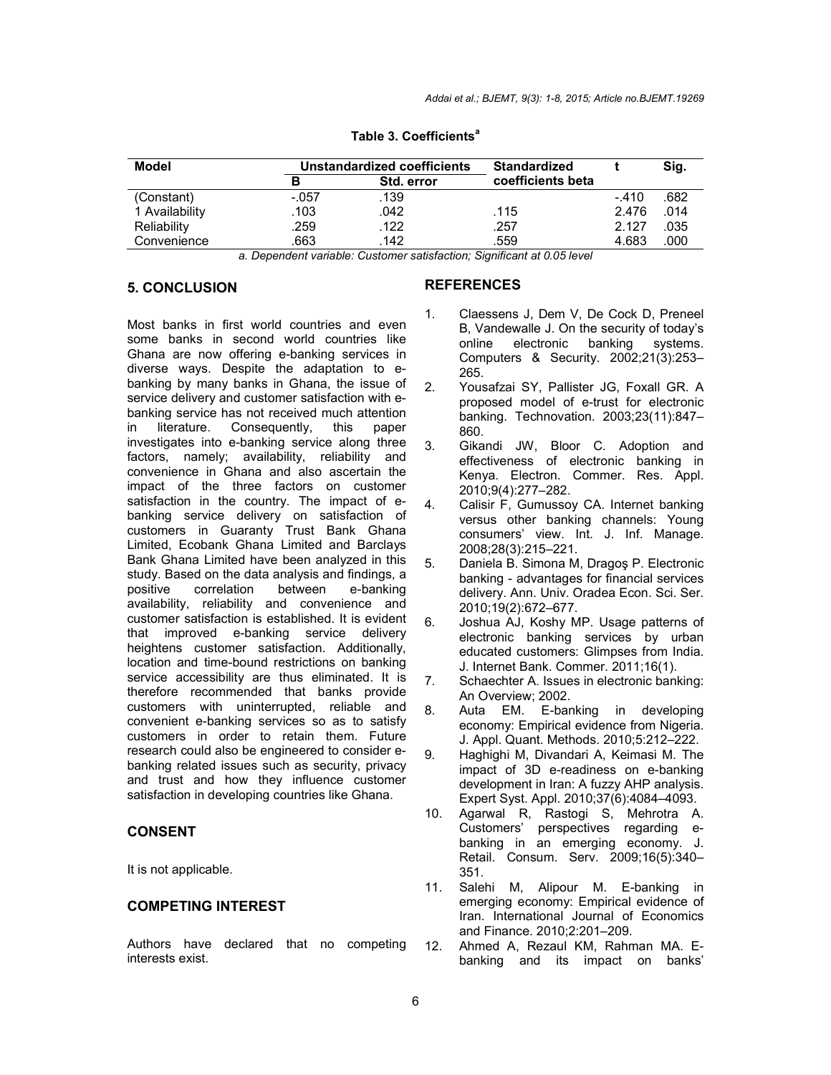| <b>Model</b>   | Unstandardized coefficients |                   | <b>Standardized</b> |         | Sig. |
|----------------|-----------------------------|-------------------|---------------------|---------|------|
|                | в                           | <b>Std. error</b> | coefficients beta   |         |      |
| (Constant)     | $-.057$                     | .139              |                     | $-.410$ | .682 |
| 1 Availability | .103                        | .042              | .115                | 2.476   | .014 |
| Reliability    | .259                        | .122              | .257                | 2.127   | .035 |
| Convenience    | .663                        | .142              | .559                | 4.683   | .000 |

**Table 3. Coefficients<sup>a</sup>**

*a. Dependent variable: Customer satisfaction; Significant at 0.05 level*

### **5. CONCLUSION**

Most banks in first world countries and even some banks in second world countries like Ghana are now offering e-banking services in diverse ways. Despite the adaptation to ebanking by many banks in Ghana, the issue of service delivery and customer satisfaction with ebanking service has not received much attention in literature. Consequently, this paper investigates into e-banking service along three factors, namely; availability, reliability and convenience in Ghana and also ascertain the impact of the three factors on customer satisfaction in the country. The impact of ebanking service delivery on satisfaction of customers in Guaranty Trust Bank Ghana Limited, Ecobank Ghana Limited and Barclays Bank Ghana Limited have been analyzed in this study. Based on the data analysis and findings, a<br>positive correlation between e-banking correlation between e-banking availability, reliability and convenience and customer satisfaction is established. It is evident that improved e-banking service delivery heightens customer satisfaction. Additionally, location and time-bound restrictions on banking service accessibility are thus eliminated. It is therefore recommended that banks provide customers with uninterrupted, reliable and convenient e-banking services so as to satisfy customers in order to retain them. Future research could also be engineered to consider ebanking related issues such as security, privacy and trust and how they influence customer satisfaction in developing countries like Ghana.

# **CONSENT**

It is not applicable.

#### **COMPETING INTEREST**

Authors have declared that no competing interests exist.

#### **REFERENCES**

- 1. Claessens J, Dem V, De Cock D, Preneel B, Vandewalle J. On the security of today's online electronic banking systems. Computers & Security. 2002;21(3):253– 265.
- 2. Yousafzai SY, Pallister JG, Foxall GR. A proposed model of e-trust for electronic banking. Technovation. 2003;23(11):847– 860.
- 3. Gikandi JW, Bloor C. Adoption and effectiveness of electronic banking in Kenya. Electron. Commer. Res. Appl. 2010;9(4):277–282.
- 4. Calisir F, Gumussoy CA. Internet banking versus other banking channels: Young consumers' view. Int. J. Inf. Manage. 2008;28(3):215–221.
- 5. Daniela B. Simona M, Dragoş P. Electronic banking - advantages for financial services delivery. Ann. Univ. Oradea Econ. Sci. Ser. 2010;19(2):672–677.
- 6. Joshua AJ, Koshy MP. Usage patterns of electronic banking services by urban educated customers: Glimpses from India. J. Internet Bank. Commer. 2011;16(1).
- 7. Schaechter A. Issues in electronic banking: An Overview; 2002.
- 8. Auta EM. E-banking in developing economy: Empirical evidence from Nigeria. J. Appl. Quant. Methods. 2010;5:212–222.
- 9. Haghighi M, Divandari A, Keimasi M. The impact of 3D e-readiness on e-banking development in Iran: A fuzzy AHP analysis. Expert Syst. Appl. 2010;37(6):4084–4093.
- 10. Agarwal R, Rastogi S, Mehrotra A. Customers' perspectives regarding ebanking in an emerging economy. J. Retail. Consum. Serv. 2009;16(5):340– 351.
- 11. Salehi M, Alipour M. E-banking in emerging economy: Empirical evidence of Iran. International Journal of Economics and Finance. 2010;2:201–209.
- 12. Ahmed A, Rezaul KM, Rahman MA. Ebanking and its impact on banks'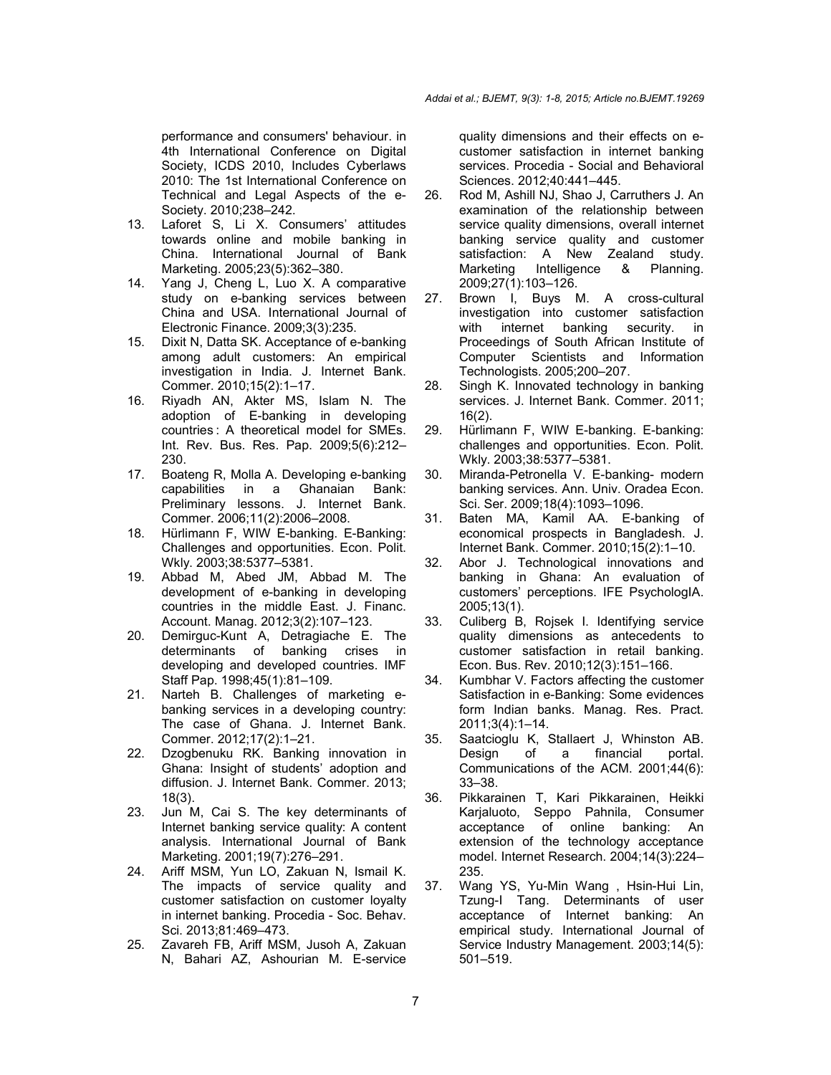performance and consumers' behaviour. in 4th International Conference on Digital Society, ICDS 2010, Includes Cyberlaws 2010: The 1st International Conference on Technical and Legal Aspects of the e-Society. 2010;238–242.

- 13. Laforet S, Li X. Consumers' attitudes towards online and mobile banking in China. International Journal of Bank Marketing. 2005;23(5):362–380.
- 14. Yang J, Cheng L, Luo X. A comparative study on e-banking services between China and USA. International Journal of Electronic Finance. 2009;3(3):235.
- 15. Dixit N, Datta SK. Acceptance of e-banking among adult customers: An empirical investigation in India. J. Internet Bank. Commer. 2010;15(2):1–17.
- 16. Riyadh AN, Akter MS, Islam N. The adoption of E-banking in developing countries : A theoretical model for SMEs. Int. Rev. Bus. Res. Pap. 2009;5(6):212– 230.
- 17. Boateng R, Molla A. Developing e-banking capabilities in a Ghanaian Bank: Preliminary lessons. J. Internet Bank. Commer. 2006;11(2):2006–2008.
- 18. Hürlimann F, WIW E-banking. E-Banking: Challenges and opportunities. Econ. Polit. Wkly. 2003;38:5377–5381.
- 19. Abbad M, Abed JM, Abbad M. The development of e-banking in developing countries in the middle East. J. Financ. Account. Manag. 2012;3(2):107–123.
- 20. Demirguc-Kunt A, Detragiache E. The determinants of banking crises in developing and developed countries. IMF Staff Pap. 1998;45(1):81–109.
- 21. Narteh B. Challenges of marketing ebanking services in a developing country: The case of Ghana. J. Internet Bank. Commer. 2012;17(2):1–21.
- 22. Dzogbenuku RK. Banking innovation in Ghana: Insight of students' adoption and diffusion. J. Internet Bank. Commer. 2013; 18(3).
- 23. Jun M, Cai S. The key determinants of Internet banking service quality: A content analysis. International Journal of Bank Marketing. 2001;19(7):276–291.
- 24. Ariff MSM, Yun LO, Zakuan N, Ismail K. The impacts of service quality and customer satisfaction on customer loyalty in internet banking. Procedia - Soc. Behav. Sci. 2013;81:469–473.
- 25. Zavareh FB, Ariff MSM, Jusoh A, Zakuan N, Bahari AZ, Ashourian M. E-service

quality dimensions and their effects on ecustomer satisfaction in internet banking services. Procedia - Social and Behavioral Sciences. 2012;40:441–445.

- 26. Rod M, Ashill NJ, Shao J, Carruthers J. An examination of the relationship between service quality dimensions, overall internet banking service quality and customer satisfaction: A New Zealand study. Marketing Intelligence & Planning. 2009;27(1):103–126.
- 27. Brown I, Buys M. A cross-cultural investigation into customer satisfaction with internet banking security. in Proceedings of South African Institute of Computer Scientists and Information Technologists. 2005;200–207.
- 28. Singh K. Innovated technology in banking services. J. Internet Bank. Commer. 2011; 16(2).
- 29. Hürlimann F, WIW E-banking. E-banking: challenges and opportunities. Econ. Polit. Wkly. 2003;38:5377–5381.
- 30. Miranda-Petronella V. E-banking- modern banking services. Ann. Univ. Oradea Econ. Sci. Ser. 2009;18(4):1093–1096.
- 31. Baten MA, Kamil AA. E-banking of economical prospects in Bangladesh. J. Internet Bank. Commer. 2010;15(2):1–10.
- 32. Abor J. Technological innovations and banking in Ghana: An evaluation of customers' perceptions. IFE PsychologIA. 2005;13(1).
- 33. Culiberg B, Rojsek I. Identifying service quality dimensions as antecedents to customer satisfaction in retail banking. Econ. Bus. Rev. 2010;12(3):151–166.
- 34. Kumbhar V. Factors affecting the customer Satisfaction in e-Banking: Some evidences form Indian banks. Manag. Res. Pract. 2011;3(4):1–14.
- 35. Saatcioglu K, Stallaert J, Whinston AB. Design of a financial Communications of the ACM. 2001;44(6): 33–38.
- 36. Pikkarainen T, Kari Pikkarainen, Heikki Karjaluoto, Seppo Pahnila, Consumer acceptance of online banking: An extension of the technology acceptance model. Internet Research. 2004;14(3):224– 235.
- 37. Wang YS, Yu-Min Wang , Hsin-Hui Lin, Tzung-I Tang. Determinants of user acceptance of Internet banking: An empirical study. International Journal of Service Industry Management. 2003;14(5): 501–519.